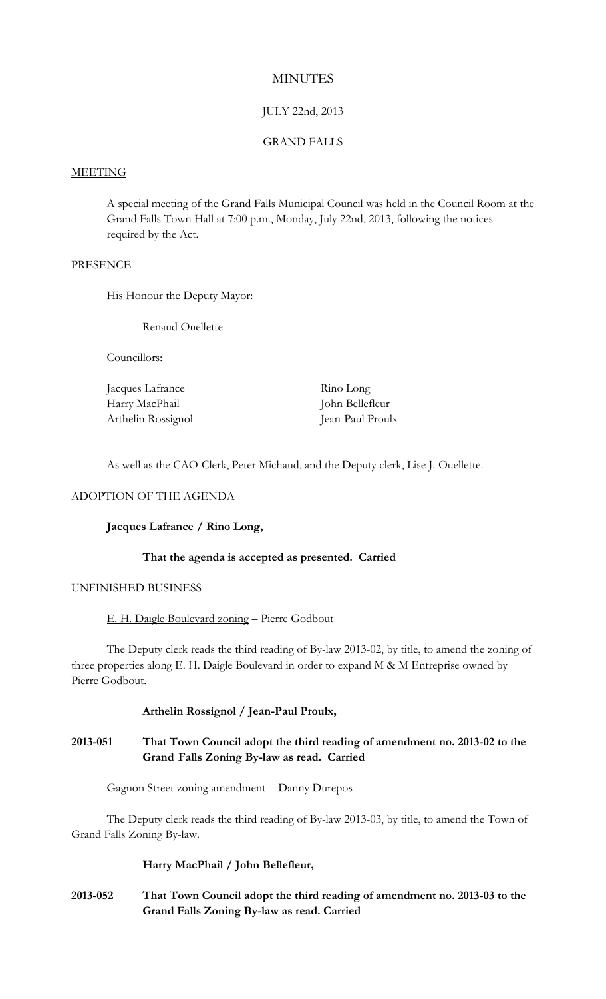# **MINUTES**

# JULY 22nd, 2013

## GRAND FALLS

#### MEETING

A special meeting of the Grand Falls Municipal Council was held in the Council Room at the Grand Falls Town Hall at 7:00 p.m., Monday, July 22nd, 2013, following the notices required by the Act.

#### **PRESENCE**

His Honour the Deputy Mayor:

Renaud Ouellette

Councillors:

| Jacques Lafrance   | Rino Long        |
|--------------------|------------------|
| Harry MacPhail     | John Bellefleur  |
| Arthelin Rossignol | Jean-Paul Proulx |

As well as the CAO-Clerk, Peter Michaud, and the Deputy clerk, Lise J. Ouellette.

#### ADOPTION OF THE AGENDA

## **Jacques Lafrance / Rino Long,**

## **That the agenda is accepted as presented. Carried**

## UNFINISHED BUSINESS

E. H. Daigle Boulevard zoning – Pierre Godbout

The Deputy clerk reads the third reading of By-law 2013-02, by title, to amend the zoning of three properties along E. H. Daigle Boulevard in order to expand M & M Entreprise owned by Pierre Godbout.

## **Arthelin Rossignol / Jean-Paul Proulx,**

# **2013-051 That Town Council adopt the third reading of amendment no. 2013-02 to the Grand Falls Zoning By-law as read. Carried**

## Gagnon Street zoning amendment - Danny Durepos

The Deputy clerk reads the third reading of By-law 2013-03, by title, to amend the Town of Grand Falls Zoning By-law.

## **Harry MacPhail / John Bellefleur,**

**2013-052 That Town Council adopt the third reading of amendment no. 2013-03 to the Grand Falls Zoning By-law as read. Carried**